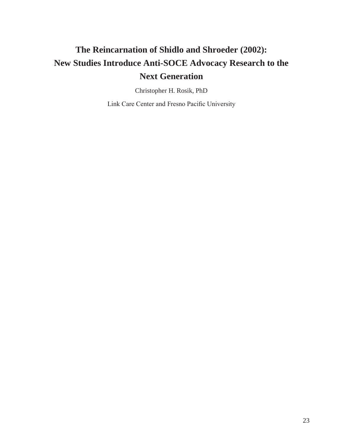# **The Reincarnation of Shidlo and Shroeder (2002): New Studies Introduce Anti-SOCE Advocacy Research to the Next Generation**

Christopher H. Rosik, PhD

Link Care Center and Fresno Pacific University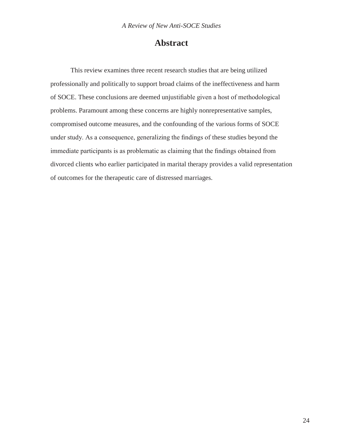## **Abstract**

This review examines three recent research studies that are being utilized professionally and politically to support broad claims of the ineffectiveness and harm of SOCE. These conclusions are deemed unjustifiable given a host of methodological problems. Paramount among these concerns are highly nonrepresentative samples, compromised outcome measures, and the confounding of the various forms of SOCE under study. As a consequence, generalizing the findings of these studies beyond the immediate participants is as problematic as claiming that the findings obtained from divorced clients who earlier participated in marital therapy provides a valid representation of outcomes for the therapeutic care of distressed marriages.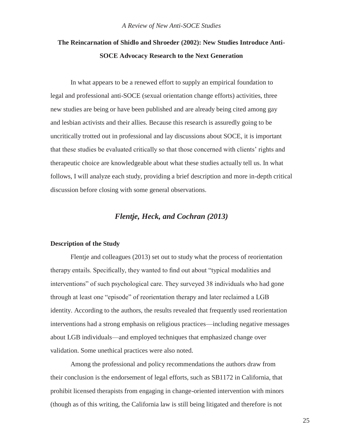# **The Reincarnation of Shidlo and Shroeder (2002): New Studies Introduce Anti-SOCE Advocacy Research to the Next Generation**

In what appears to be a renewed effort to supply an empirical foundation to legal and professional anti-SOCE (sexual orientation change efforts) activities, three new studies are being or have been published and are already being cited among gay and lesbian activists and their allies. Because this research is assuredly going to be uncritically trotted out in professional and lay discussions about SOCE, it is important that these studies be evaluated critically so that those concerned with clients' rights and therapeutic choice are knowledgeable about what these studies actually tell us. In what follows, I will analyze each study, providing a brief description and more in-depth critical discussion before closing with some general observations.

#### *Flentje, Heck, and Cochran (2013)*

#### **Description of the Study**

Flentje and colleagues (2013) set out to study what the process of reorientation therapy entails. Specifically, they wanted to find out about "typical modalities and interventions" of such psychological care. They surveyed 38 individuals who had gone through at least one "episode" of reorientation therapy and later reclaimed a LGB identity. According to the authors, the results revealed that frequently used reorientation interventions had a strong emphasis on religious practices—including negative messages about LGB individuals—and employed techniques that emphasized change over validation. Some unethical practices were also noted.

Among the professional and policy recommendations the authors draw from their conclusion is the endorsement of legal efforts, such as SB1172 in California, that prohibit licensed therapists from engaging in change-oriented intervention with minors (though as of this writing, the California law is still being litigated and therefore is not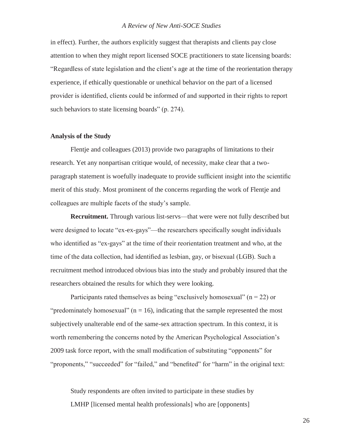in effect). Further, the authors explicitly suggest that therapists and clients pay close attention to when they might report licensed SOCE practitioners to state licensing boards: "Regardless of state legislation and the client's age at the time of the reorientation therapy experience, if ethically questionable or unethical behavior on the part of a licensed provider is identified, clients could be informed of and supported in their rights to report such behaviors to state licensing boards" (p. 274).

#### **Analysis of the Study**

Flentje and colleagues (2013) provide two paragraphs of limitations to their research. Yet any nonpartisan critique would, of necessity, make clear that a twoparagraph statement is woefully inadequate to provide sufficient insight into the scientific merit of this study. Most prominent of the concerns regarding the work of Flentje and colleagues are multiple facets of the study's sample.

**Recruitment.** Through various list-servs—that were were not fully described but were designed to locate "ex-ex-gays"—the researchers specifically sought individuals who identified as "ex-gays" at the time of their reorientation treatment and who, at the time of the data collection, had identified as lesbian, gay, or bisexual (LGB). Such a recruitment method introduced obvious bias into the study and probably insured that the researchers obtained the results for which they were looking.

Participants rated themselves as being "exclusively homosexual"  $(n = 22)$  or "predominately homosexual" ( $n = 16$ ), indicating that the sample represented the most subjectively unalterable end of the same-sex attraction spectrum. In this context, it is worth remembering the concerns noted by the American Psychological Association's 2009 task force report, with the small modification of substituting "opponents" for "proponents," "succeeded" for "failed," and "benefited" for "harm" in the original text:

Study respondents are often invited to participate in these studies by LMHP [licensed mental health professionals] who are [opponents]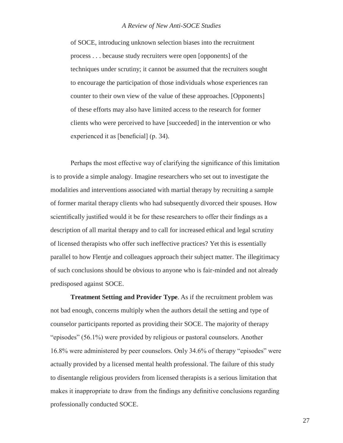of SOCE, introducing unknown selection biases into the recruitment process . . . because study recruiters were open [opponents] of the techniques under scrutiny; it cannot be assumed that the recruiters sought to encourage the participation of those individuals whose experiences ran counter to their own view of the value of these approaches. [Opponents] of these efforts may also have limited access to the research for former clients who were perceived to have [succeeded] in the intervention or who experienced it as [beneficial] (p. 34).

Perhaps the most effective way of clarifying the significance of this limitation is to provide a simple analogy. Imagine researchers who set out to investigate the modalities and interventions associated with martial therapy by recruiting a sample of former marital therapy clients who had subsequently divorced their spouses. How scientifically justified would it be for these researchers to offer their findings as a description of all marital therapy and to call for increased ethical and legal scrutiny of licensed therapists who offer such ineffective practices? Yet this is essentially parallel to how Flentje and colleagues approach their subject matter. The illegitimacy of such conclusions should be obvious to anyone who is fair-minded and not already predisposed against SOCE.

**Treatment Setting and Provider Type**. As if the recruitment problem was not bad enough, concerns multiply when the authors detail the setting and type of counselor participants reported as providing their SOCE. The majority of therapy "episodes" (56.1%) were provided by religious or pastoral counselors. Another 16.8% were administered by peer counselors. Only 34.6% of therapy "episodes" were actually provided by a licensed mental health professional. The failure of this study to disentangle religious providers from licensed therapists is a serious limitation that makes it inappropriate to draw from the findings any definitive conclusions regarding professionally conducted SOCE.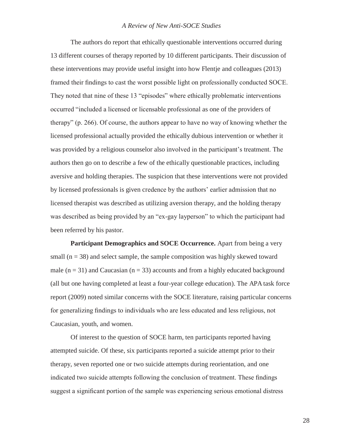The authors do report that ethically questionable interventions occurred during 13 different courses of therapy reported by 10 different participants. Their discussion of these interventions may provide useful insight into how Flentje and colleagues (2013) framed their findings to cast the worst possible light on professionally conducted SOCE. They noted that nine of these 13 "episodes" where ethically problematic interventions occurred "included a licensed or licensable professional as one of the providers of therapy" (p. 266). Of course, the authors appear to have no way of knowing whether the licensed professional actually provided the ethically dubious intervention or whether it was provided by a religious counselor also involved in the participant's treatment. The authors then go on to describe a few of the ethically questionable practices, including aversive and holding therapies. The suspicion that these interventions were not provided by licensed professionals is given credence by the authors' earlier admission that no licensed therapist was described as utilizing aversion therapy, and the holding therapy was described as being provided by an "ex-gay layperson" to which the participant had been referred by his pastor.

Participant Demographics and SOCE Occurrence. Apart from being a very small ( $n = 38$ ) and select sample, the sample composition was highly skewed toward male  $(n = 31)$  and Caucasian  $(n = 33)$  accounts and from a highly educated background (all but one having completed at least a four-year college education). The APA task force report (2009) noted similar concerns with the SOCE literature, raising particular concerns for generalizing findings to individuals who are less educated and less religious, not Caucasian, youth, and women.

Of interest to the question of SOCE harm, ten participants reported having attempted suicide. Of these, six participants reported a suicide attempt prior to their therapy, seven reported one or two suicide attempts during reorientation, and one indicated two suicide attempts following the conclusion of treatment. These findings suggest a significant portion of the sample was experiencing serious emotional distress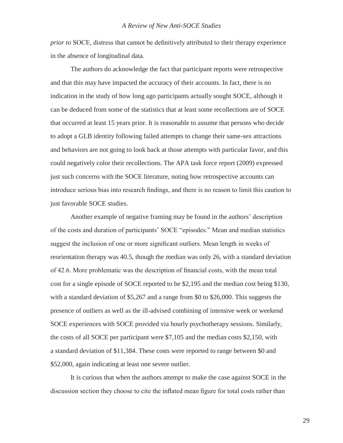*prior to* SOCE, distress that cannot be definitively attributed to their therapy experience in the absence of longitudinal data.

The authors do acknowledge the fact that participant reports were retrospective and that this may have impacted the accuracy of their accounts. In fact, there is no indication in the study of how long ago participants actually sought SOCE, although it can be deduced from some of the statistics that at least some recollections are of SOCE that occurred at least 15 years prior. It is reasonable to assume that persons who decide to adopt a GLB identity following failed attempts to change their same-sex attractions and behaviors are not going to look back at those attempts with particular favor, and this could negatively color their recollections. The APA task force report (2009) expressed just such concerns with the SOCE literature, noting how retrospective accounts can introduce serious bias into research findings, and there is no reason to limit this caution to just favorable SOCE studies.

Another example of negative framing may be found in the authors' description of the costs and duration of participants' SOCE "episodes." Mean and median statistics suggest the inclusion of one or more significant outliers. Mean length in weeks of reorientation therapy was 40.5, though the median was only 26, with a standard deviation of 42.6. More problematic was the description of financial costs, with the mean total cost for a single episode of SOCE reported to be \$2,195 and the median cost being \$130, with a standard deviation of \$5,267 and a range from \$0 to \$26,000. This suggests the presence of outliers as well as the ill-advised combining of intensive week or weekend SOCE experiences with SOCE provided via hourly psychotherapy sessions. Similarly, the costs of all SOCE per participant were \$7,105 and the median costs \$2,150, with a standard deviation of \$11,384. These costs were reported to range between \$0 and \$52,000, again indicating at least one severe outlier.

It is curious that when the authors attempt to make the case against SOCE in the discussion section they choose to cite the inflated mean figure for total costs rather than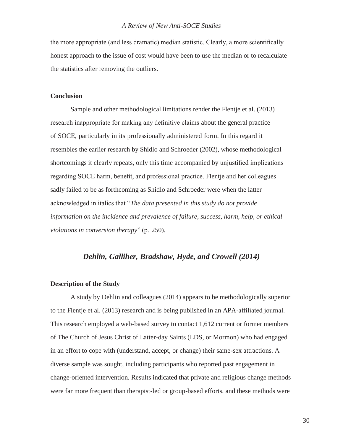the more appropriate (and less dramatic) median statistic. Clearly, a more scientifically honest approach to the issue of cost would have been to use the median or to recalculate the statistics after removing the outliers.

#### **Conclusion**

Sample and other methodological limitations render the Flentje et al. (2013) research inappropriate for making any definitive claims about the general practice of SOCE, particularly in its professionally administered form. In this regard it resembles the earlier research by Shidlo and Schroeder (2002), whose methodological shortcomings it clearly repeats, only this time accompanied by unjustified implications regarding SOCE harm, benefit, and professional practice. Flentje and her colleagues sadly failed to be as forthcoming as Shidlo and Schroeder were when the latter acknowledged in italics that "*The data presented in this study do not provide information on the incidence and prevalence of failure, success, harm, help, or ethical violations in conversion therapy*" (p. 250).

#### *Dehlin, Galliher, Bradshaw, Hyde, and Crowell (2014)*

#### **Description of the Study**

A study by Dehlin and colleagues (2014) appears to be methodologically superior to the Flentje et al. (2013) research and is being published in an APA-affiliated journal. This research employed a web-based survey to contact 1,612 current or former members of The Church of Jesus Christ of Latter-day Saints (LDS, or Mormon) who had engaged in an effort to cope with (understand, accept, or change) their same-sex attractions. A diverse sample was sought, including participants who reported past engagement in change-oriented intervention. Results indicated that private and religious change methods were far more frequent than therapist-led or group-based efforts, and these methods were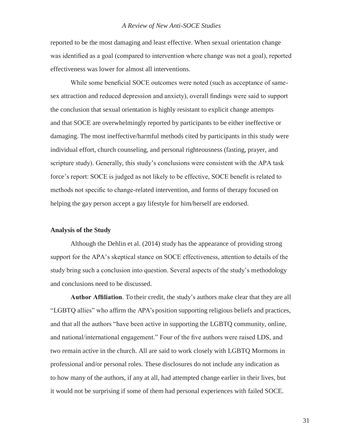reported to be the most damaging and least effective. When sexual orientation change was identified as a goal (compared to intervention where change was not a goal), reported effectiveness was lower for almost all interventions.

While some beneficial SOCE outcomes were noted (such as acceptance of samesex attraction and reduced depression and anxiety), overall findings were said to support the conclusion that sexual orientation is highly resistant to explicit change attempts and that SOCE are overwhelmingly reported by participants to be either ineffective or damaging. The most ineffective/harmful methods cited by participants in this study were individual effort, church counseling, and personal righteousness (fasting, prayer, and scripture study). Generally, this study's conclusions were consistent with the APA task force's report: SOCE is judged as not likely to be effective, SOCE benefit is related to methods not specific to change-related intervention, and forms of therapy focused on helping the gay person accept a gay lifestyle for him/herself are endorsed.

#### **Analysis of the Study**

Although the Dehlin et al. (2014) study has the appearance of providing strong support for the APA's skeptical stance on SOCE effectiveness, attention to details of the study bring such a conclusion into question. Several aspects of the study's methodology and conclusions need to be discussed.

**Author Affiliation**. To their credit, the study's authors make clear that they are all "LGBTQ allies" who affirm the APA's position supporting religious beliefs and practices, and that all the authors "have been active in supporting the LGBTQ community, online, and national/international engagement." Four of the five authors were raised LDS, and two remain active in the church. All are said to work closely with LGBTQ Mormons in professional and/or personal roles. These disclosures do not include any indication as to how many of the authors, if any at all, had attempted change earlier in their lives, but it would not be surprising if some of them had personal experiences with failed SOCE.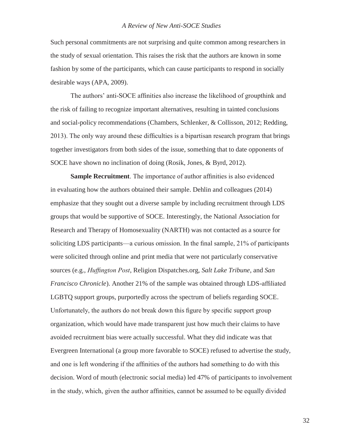Such personal commitments are not surprising and quite common among researchers in the study of sexual orientation. This raises the risk that the authors are known in some fashion by some of the participants, which can cause participants to respond in socially desirable ways (APA, 2009).

The authors' anti-SOCE affinities also increase the likelihood of groupthink and the risk of failing to recognize important alternatives, resulting in tainted conclusions and social-policy recommendations (Chambers, Schlenker, & Collisson, 2012; Redding, 2013). The only way around these difficulties is a bipartisan research program that brings together investigators from both sides of the issue, something that to date opponents of SOCE have shown no inclination of doing (Rosik, Jones, & Byrd, 2012).

**Sample Recruitment**. The importance of author affinities is also evidenced in evaluating how the authors obtained their sample. Dehlin and colleagues (2014) emphasize that they sought out a diverse sample by including recruitment through LDS groups that would be supportive of SOCE. Interestingly, the National Association for Research and Therapy of Homosexuality (NARTH) was not contacted as a source for soliciting LDS participants—a curious omission. In the final sample, 21% of participants were solicited through online and print media that were not particularly conservative sources (e.g., *Huffington Post*, Religion Dispatches.org, *Salt Lake Tribune*, and *San Francisco Chronicle*). Another 21% of the sample was obtained through LDS-affiliated LGBTQ support groups, purportedly across the spectrum of beliefs regarding SOCE. Unfortunately, the authors do not break down this figure by specific support group organization, which would have made transparent just how much their claims to have avoided recruitment bias were actually successful. What they did indicate was that Evergreen International (a group more favorable to SOCE) refused to advertise the study, and one is left wondering if the affinities of the authors had something to do with this decision. Word of mouth (electronic social media) led 47% of participants to involvement in the study, which, given the author affinities, cannot be assumed to be equally divided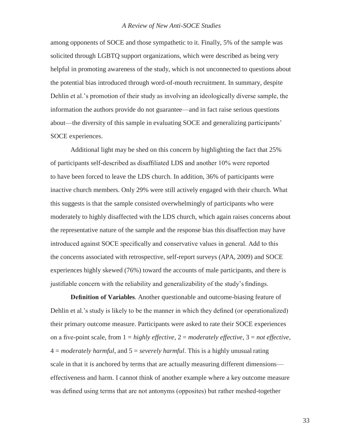among opponents of SOCE and those sympathetic to it. Finally, 5% of the sample was solicited through LGBTQ support organizations, which were described as being very helpful in promoting awareness of the study, which is not unconnected to questions about the potential bias introduced through word-of-mouth recruitment. In summary, despite Dehlin et al.'s promotion of their study as involving an ideologically diverse sample, the information the authors provide do not guarantee—and in fact raise serious questions about—the diversity of this sample in evaluating SOCE and generalizing participants' SOCE experiences.

Additional light may be shed on this concern by highlighting the fact that 25% of participants self-described as disaffiliated LDS and another 10% were reported to have been forced to leave the LDS church. In addition, 36% of participants were inactive church members. Only 29% were still actively engaged with their church. What this suggests is that the sample consisted overwhelmingly of participants who were moderately to highly disaffected with the LDS church, which again raises concerns about the representative nature of the sample and the response bias this disaffection may have introduced against SOCE specifically and conservative values in general. Add to this the concerns associated with retrospective, self-report surveys (APA, 2009) and SOCE experiences highly skewed (76%) toward the accounts of male participants, and there is justifiable concern with the reliability and generalizability of the study's findings.

**Definition of Variables**. Another questionable and outcome-biasing feature of Dehlin et al.'s study is likely to be the manner in which they defined (or operationalized) their primary outcome measure. Participants were asked to rate their SOCE experiences on a five-point scale, from 1 = *highly effective*, 2 = *moderately effective*, 3 = *not effective*, 4 = *moderately harmful*, and 5 = *severely harmful*. This is a highly unusual rating scale in that it is anchored by terms that are actually measuring different dimensions effectiveness and harm. I cannot think of another example where a key outcome measure was defined using terms that are not antonyms (opposites) but rather meshed-together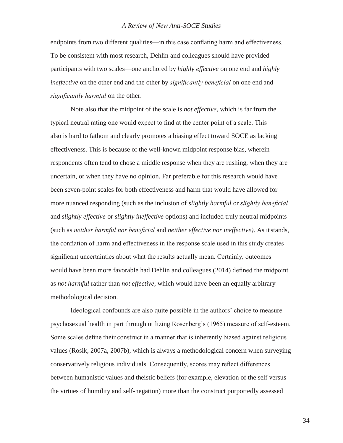endpoints from two different qualities—in this case conflating harm and effectiveness. To be consistent with most research, Dehlin and colleagues should have provided participants with two scales—one anchored by *highly effective* on one end and *highly ineffective* on the other end and the other by *significantly beneficial* on one end and *significantly harmful* on the other.

Note also that the midpoint of the scale is *not effective*, which is far from the typical neutral rating one would expect to find at the center point of a scale. This also is hard to fathom and clearly promotes a biasing effect toward SOCE as lacking effectiveness. This is because of the well-known midpoint response bias, wherein respondents often tend to chose a middle response when they are rushing, when they are uncertain, or when they have no opinion. Far preferable for this research would have been seven-point scales for both effectiveness and harm that would have allowed for more nuanced responding (such as the inclusion of *slightly harmful* or *slightly beneficial*  and *slightly effective* or *slightly ineffective* options) and included truly neutral midpoints (such as *neither harmful nor beneficial* and *neither effective nor ineffective)*. As itstands, the conflation of harm and effectiveness in the response scale used in this study creates significant uncertainties about what the results actually mean. Certainly, outcomes would have been more favorable had Dehlin and colleagues (2014) defined the midpoint as *not harmful* rather than *not effective*, which would have been an equally arbitrary methodological decision.

Ideological confounds are also quite possible in the authors' choice to measure psychosexual health in part through utilizing Rosenberg's (1965) measure of self-esteem. Some scales define their construct in a manner that is inherently biased against religious values (Rosik, 2007a, 2007b), which is always a methodological concern when surveying conservatively religious individuals. Consequently, scores may reflect differences between humanistic values and theistic beliefs (for example, elevation of the self versus the virtues of humility and self-negation) more than the construct purportedly assessed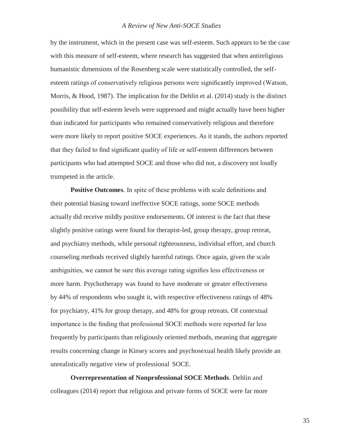by the instrument, which in the present case was self-esteem. Such appears to be the case with this measure of self-esteem, where research has suggested that when antireligious humanistic dimensions of the Rosenberg scale were statistically controlled, the selfesteem ratings of conservatively religious persons were significantly improved (Watson, Morris,  $\&$  Hood, 1987). The implication for the Dehlin et al. (2014) study is the distinct possibility that self-esteem levels were suppressed and might actually have been higher than indicated for participants who remained conservatively religious and therefore were more likely to report positive SOCE experiences. As it stands, the authors reported that they failed to find significant quality of life or self-esteem differences between participants who had attempted SOCE and those who did not, a discovery not loudly trumpeted in the article.

**Positive Outcomes**. In spite of these problems with scale definitions and their potential biasing toward ineffective SOCE ratings, some SOCE methods actually did receive mildly positive endorsements. Of interest is the fact that these slightly positive ratings were found for therapist-led, group therapy, group retreat, and psychiatry methods, while personal righteousness, individual effort, and church counseling methods received slightly harmful ratings. Once again, given the scale ambiguities, we cannot be sure this average rating signifies less effectiveness or more harm. Psychotherapy was found to have moderate or greater effectiveness by 44% of respondents who sought it, with respective effectiveness ratings of 48% for psychiatry, 41% for group therapy, and 48% for group retreats. Of contextual importance is the finding that professional SOCE methods were reported far less frequently by participants than religiously oriented methods, meaning that aggregate results concerning change in Kinsey scores and psychosexual health likely provide an unrealistically negative view of professional SOCE.

**Overrepresentation of Nonprofessional SOCE Methods**. Dehlin and colleagues (2014) report that religious and private forms of SOCE were far more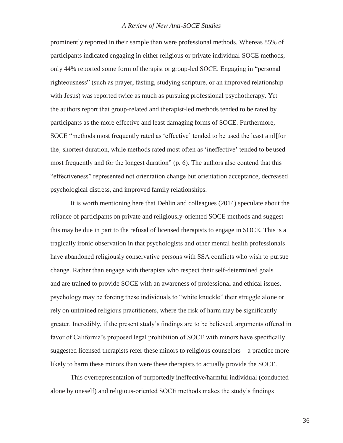prominently reported in their sample than were professional methods. Whereas 85% of participants indicated engaging in either religious or private individual SOCE methods, only 44% reported some form of therapist or group-led SOCE. Engaging in "personal righteousness" (such as prayer, fasting, studying scripture, or an improved relationship with Jesus) was reported twice as much as pursuing professional psychotherapy. Yet the authors report that group-related and therapist-led methods tended to be rated by participants as the more effective and least damaging forms of SOCE. Furthermore, SOCE "methods most frequently rated as 'effective' tended to be used the least and [for the] shortest duration, while methods rated most often as 'ineffective' tended to be used most frequently and for the longest duration" (p. 6). The authors also contend that this "effectiveness" represented not orientation change but orientation acceptance, decreased psychological distress, and improved family relationships.

It is worth mentioning here that Dehlin and colleagues (2014) speculate about the reliance of participants on private and religiously-oriented SOCE methods and suggest this may be due in part to the refusal of licensed therapists to engage in SOCE. This is a tragically ironic observation in that psychologists and other mental health professionals have abandoned religiously conservative persons with SSA conflicts who wish to pursue change. Rather than engage with therapists who respect their self-determined goals and are trained to provide SOCE with an awareness of professional and ethical issues, psychology may be forcing these individuals to "white knuckle" their struggle alone or rely on untrained religious practitioners, where the risk of harm may be significantly greater. Incredibly, if the present study's findings are to be believed, arguments offered in favor of California's proposed legal prohibition of SOCE with minors have specifically suggested licensed therapists refer these minors to religious counselors—a practice more likely to harm these minors than were these therapists to actually provide the SOCE.

This overrepresentation of purportedly ineffective/harmful individual (conducted alone by oneself) and religious-oriented SOCE methods makes the study's findings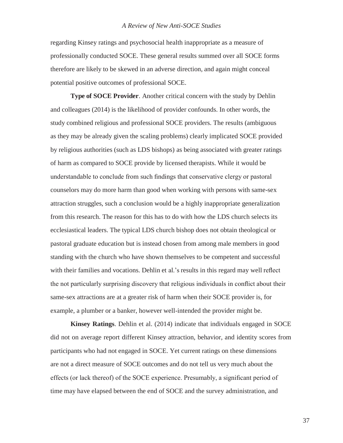regarding Kinsey ratings and psychosocial health inappropriate as a measure of professionally conducted SOCE. These general results summed over all SOCE forms therefore are likely to be skewed in an adverse direction, and again might conceal potential positive outcomes of professional SOCE.

**Type of SOCE Provider**. Another critical concern with the study by Dehlin and colleagues (2014) is the likelihood of provider confounds. In other words, the study combined religious and professional SOCE providers. The results (ambiguous as they may be already given the scaling problems) clearly implicated SOCE provided by religious authorities (such as LDS bishops) as being associated with greater ratings of harm as compared to SOCE provide by licensed therapists. While it would be understandable to conclude from such findings that conservative clergy or pastoral counselors may do more harm than good when working with persons with same-sex attraction struggles, such a conclusion would be a highly inappropriate generalization from this research. The reason for this has to do with how the LDS church selects its ecclesiastical leaders. The typical LDS church bishop does not obtain theological or pastoral graduate education but is instead chosen from among male members in good standing with the church who have shown themselves to be competent and successful with their families and vocations. Dehlin et al.'s results in this regard may well reflect the not particularly surprising discovery that religious individuals in conflict about their same-sex attractions are at a greater risk of harm when their SOCE provider is, for example, a plumber or a banker, however well-intended the provider might be.

**Kinsey Ratings**. Dehlin et al. (2014) indicate that individuals engaged in SOCE did not on average report different Kinsey attraction, behavior, and identity scores from participants who had not engaged in SOCE. Yet current ratings on these dimensions are not a direct measure of SOCE outcomes and do not tell us very much about the effects (or lack thereof) of the SOCE experience. Presumably, a significant period of time may have elapsed between the end of SOCE and the survey administration, and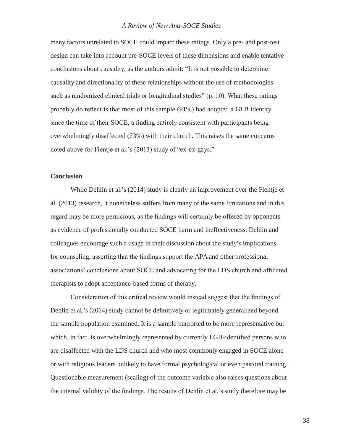many factors unrelated to SOCE could impact these ratings. Only a pre- and post-test design can take into account pre-SOCE levels of these dimensions and enable tentative conclusions about causality, as the authors admit: "It is not possible to determine causality and directionality of these relationships without the use of methodologies such as randomized clinical trials or longitudinal studies" (p. 10). What these ratings probably do reflect is that most of this sample (91%) had adopted a GLB identity since the time of their SOCE, a finding entirely consistent with participants being overwhelmingly disaffected (73%) with their church. This raises the same concerns noted above for Flentje et al.'s (2013) study of "ex-ex-gays."

#### **Conclusion**

While Dehlin et al.'s (2014) study is clearly an improvement over the Flentje et al. (2013) research, it nonetheless suffers from many of the same limitations and in this regard may be more pernicious, as the findings will certainly be offered by opponents as evidence of professionally conducted SOCE harm and ineffectiveness. Dehlin and colleagues encourage such a usage in their discussion about the study's implications for counseling, asserting that the findings support the APA and other professional associations' conclusions about SOCE and advocating for the LDS church and affiliated therapists to adopt acceptance-based forms of therapy.

Consideration of this critical review would instead suggest that the findings of Dehlin et al.'s (2014) study cannot be definitively or legitimately generalized beyond the sample population examined. It is a sample purported to be more representative but which, in fact, is overwhelmingly represented by currently LGB-identified persons who are disaffected with the LDS church and who most commonly engaged in SOCE alone or with religious leaders unlikely to have formal psychological or even pastoral training. Questionable measurement (scaling) of the outcome variable also raises questions about the internal validity of the findings. The results of Dehlin et al.'s study therefore may be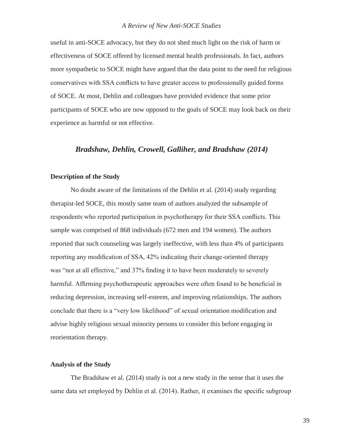useful in anti-SOCE advocacy, but they do not shed much light on the risk of harm or effectiveness of SOCE offered by licensed mental health professionals. In fact, authors more sympathetic to SOCE might have argued that the data point to the need for religious conservatives with SSA conflicts to have greater access to professionally guided forms of SOCE. At most, Dehlin and colleagues have provided evidence that some prior participants of SOCE who are now opposed to the goals of SOCE may look back on their experience as harmful or not effective.

#### *Bradshaw, Dehlin, Crowell, Galliher, and Bradshaw (2014)*

#### **Description of the Study**

No doubt aware of the limitations of the Dehlin et al. (2014) study regarding therapist-led SOCE, this mostly same team of authors analyzed the subsample of respondents who reported participation in psychotherapy for their SSA conflicts. This sample was comprised of 868 individuals (672 men and 194 women). The authors reported that such counseling was largely ineffective, with less than 4% of participants reporting any modification of SSA, 42% indicating their change-oriented therapy was "not at all effective," and 37% finding it to have been moderately to severely harmful. Affirming psychotherapeutic approaches were often found to be beneficial in reducing depression, increasing self-esteem, and improving relationships. The authors conclude that there is a "very low likelihood" of sexual orientation modification and advise highly religious sexual minority persons to consider this before engaging in reorientation therapy.

#### **Analysis of the Study**

The Bradshaw et al. (2014) study is not a new study in the sense that it uses the same data set employed by Dehlin et al. (2014). Rather, it examines the specific subgroup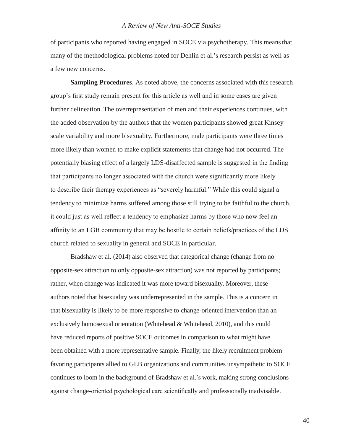of participants who reported having engaged in SOCE via psychotherapy. This meansthat many of the methodological problems noted for Dehlin et al.'s research persist as well as a few new concerns.

**Sampling Procedures**. As noted above, the concerns associated with this research group's first study remain present for this article as well and in some cases are given further delineation. The overrepresentation of men and their experiences continues, with the added observation by the authors that the women participants showed great Kinsey scale variability and more bisexuality. Furthermore, male participants were three times more likely than women to make explicit statements that change had not occurred. The potentially biasing effect of a largely LDS-disaffected sample is suggested in the finding that participants no longer associated with the church were significantly more likely to describe their therapy experiences as "severely harmful." While this could signal a tendency to minimize harms suffered among those still trying to be faithful to the church, it could just as well reflect a tendency to emphasize harms by those who now feel an affinity to an LGB community that may be hostile to certain beliefs/practices of the LDS church related to sexuality in general and SOCE in particular.

Bradshaw et al. (2014) also observed that categorical change (change from no opposite-sex attraction to only opposite-sex attraction) was not reported by participants; rather, when change was indicated it was more toward bisexuality. Moreover, these authors noted that bisexuality was underrepresented in the sample. This is a concern in that bisexuality is likely to be more responsive to change-oriented intervention than an exclusively homosexual orientation (Whitehead & Whitehead, 2010), and this could have reduced reports of positive SOCE outcomes in comparison to what might have been obtained with a more representative sample. Finally, the likely recruitment problem favoring participants allied to GLB organizations and communities unsympathetic to SOCE continues to loom in the background of Bradshaw et al.'s work, making strong conclusions against change-oriented psychological care scientifically and professionally inadvisable.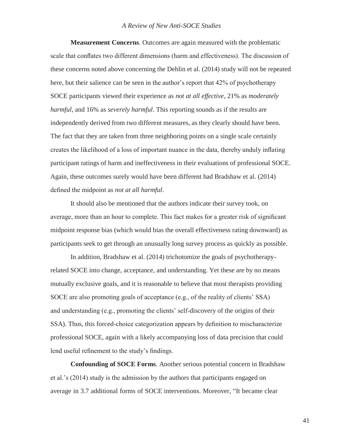**Measurement Concerns**. Outcomes are again measured with the problematic scale that conflates two different dimensions (harm and effectiveness). The discussion of these concerns noted above concerning the Dehlin et al. (2014) study will not be repeated here, but their salience can be seen in the author's report that 42% of psychotherapy SOCE participants viewed their experience as *not at all effective*, 21% as *moderately harmful*, and 16% as *severely harmful*. This reporting sounds as if the results are independently derived from two different measures, as they clearly should have been. The fact that they are taken from three neighboring points on a single scale certainly creates the likelihood of a loss of important nuance in the data, thereby unduly inflating participant ratings of harm and ineffectiveness in their evaluations of professional SOCE. Again, these outcomes surely would have been different had Bradshaw et al. (2014) defined the midpoint as *not at all harmful*.

It should also be mentioned that the authors indicate their survey took, on average, more than an hour to complete. This fact makes for a greater risk of significant midpoint response bias (which would bias the overall effectiveness rating downward) as participants seek to get through an unusually long survey process as quickly as possible.

In addition, Bradshaw et al. (2014) trichotomize the goals of psychotherapyrelated SOCE into change, acceptance, and understanding. Yet these are by no means mutually exclusive goals, and it is reasonable to believe that most therapists providing SOCE are also promoting goals of acceptance (e.g., of the reality of clients' SSA) and understanding (e.g., promoting the clients' self-discovery of the origins of their SSA). Thus, this forced-choice categorization appears by definition to mischaracterize professional SOCE, again with a likely accompanying loss of data precision that could lend useful refinement to the study's findings.

**Confounding of SOCE Forms**. Another serious potential concern in Bradshaw et al.'s (2014) study is the admission by the authors that participants engaged on average in 3.7 additional forms of SOCE interventions. Moreover, "It became clear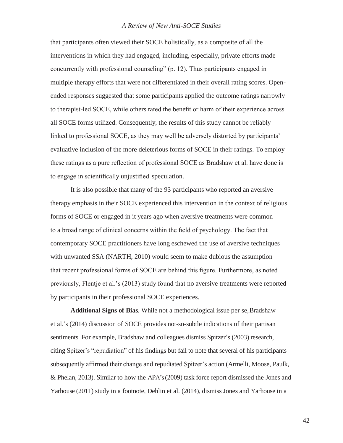that participants often viewed their SOCE holistically, as a composite of all the interventions in which they had engaged, including, especially, private efforts made concurrently with professional counseling" (p. 12). Thus participants engaged in multiple therapy efforts that were not differentiated in their overall rating scores. Openended responses suggested that some participants applied the outcome ratings narrowly to therapist-led SOCE, while others rated the benefit or harm of their experience across all SOCE forms utilized. Consequently, the results of this study cannot be reliably linked to professional SOCE, as they may well be adversely distorted by participants' evaluative inclusion of the more deleterious forms of SOCE in their ratings. To employ these ratings as a pure reflection of professional SOCE as Bradshaw et al. have done is to engage in scientifically unjustified speculation.

It is also possible that many of the 93 participants who reported an aversive therapy emphasis in their SOCE experienced this intervention in the context of religious forms of SOCE or engaged in it years ago when aversive treatments were common to a broad range of clinical concerns within the field of psychology. The fact that contemporary SOCE practitioners have long eschewed the use of aversive techniques with unwanted SSA (NARTH, 2010) would seem to make dubious the assumption that recent professional forms of SOCE are behind this figure. Furthermore, as noted previously, Flentje et al.'s (2013) study found that no aversive treatments were reported by participants in their professional SOCE experiences.

**Additional Signs of Bias**. While not a methodological issue per se,Bradshaw et al.'s (2014) discussion of SOCE provides not-so-subtle indications of their partisan sentiments. For example, Bradshaw and colleagues dismiss Spitzer's (2003) research, citing Spitzer's "repudiation" of his findings but fail to note that several of his participants subsequently affirmed their change and repudiated Spitzer's action (Armelli, Moose, Paulk, & Phelan, 2013). Similar to how the APA's (2009) task force report dismissed the Jones and Yarhouse (2011) study in a footnote, Dehlin et al. (2014), dismiss Jones and Yarhouse in a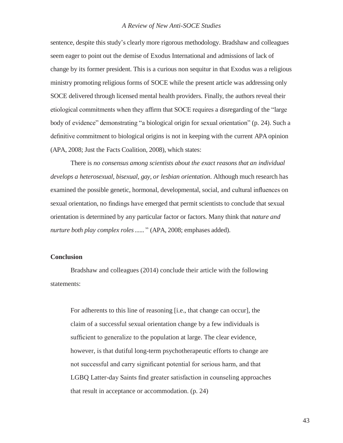sentence, despite this study's clearly more rigorous methodology. Bradshaw and colleagues seem eager to point out the demise of Exodus International and admissions of lack of change by its former president. This is a curious non sequitur in that Exodus was a religious ministry promoting religious forms of SOCE while the present article was addressing only SOCE delivered through licensed mental health providers. Finally, the authors reveal their etiological commitments when they affirm that SOCE requires a disregarding of the "large body of evidence" demonstrating "a biological origin for sexual orientation" (p. 24). Such a definitive commitment to biological origins is not in keeping with the current APA opinion (APA, 2008; Just the Facts Coalition, 2008), which states:

There is *no consensus among scientists about the exact reasons that an individual develops a heterosexual, bisexual, gay, or lesbian orientation*. Although much research has examined the possible genetic, hormonal, developmental, social, and cultural influences on sexual orientation, no findings have emerged that permit scientists to conclude that sexual orientation is determined by any particular factor or factors. Many think that *nature and nurture both play complex roles......* " (APA, 2008; emphases added).

#### **Conclusion**

Bradshaw and colleagues (2014) conclude their article with the following statements:

For adherents to this line of reasoning [i.e., that change can occur], the claim of a successful sexual orientation change by a few individuals is sufficient to generalize to the population at large. The clear evidence, however, is that dutiful long-term psychotherapeutic efforts to change are not successful and carry significant potential for serious harm, and that LGBQ Latter-day Saints find greater satisfaction in counseling approaches that result in acceptance or accommodation. (p. 24)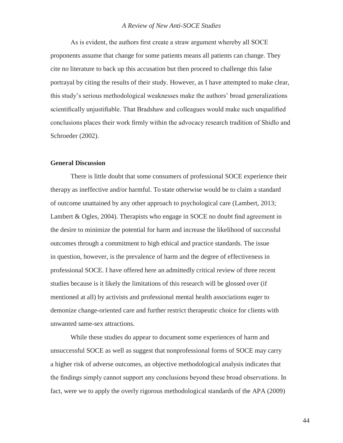As is evident, the authors first create a straw argument whereby all SOCE proponents assume that change for some patients means all patients can change. They cite no literature to back up this accusation but then proceed to challenge this false portrayal by citing the results of their study. However, as I have attempted to make clear, this study's serious methodological weaknesses make the authors' broad generalizations scientifically unjustifiable. That Bradshaw and colleagues would make such unqualified conclusions places their work firmly within the advocacy research tradition of Shidlo and Schroeder (2002).

#### **General Discussion**

There is little doubt that some consumers of professional SOCE experience their therapy as ineffective and/or harmful. To state otherwise would be to claim a standard of outcome unattained by any other approach to psychological care (Lambert, 2013; Lambert & Ogles, 2004). Therapists who engage in SOCE no doubt find agreement in the desire to minimize the potential for harm and increase the likelihood of successful outcomes through a commitment to high ethical and practice standards. The issue in question, however, is the prevalence of harm and the degree of effectiveness in professional SOCE. I have offered here an admittedly critical review of three recent studies because is it likely the limitations of this research will be glossed over (if mentioned at all) by activists and professional mental health associations eager to demonize change-oriented care and further restrict therapeutic choice for clients with unwanted same-sex attractions.

While these studies do appear to document some experiences of harm and unsuccessful SOCE as well as suggest that nonprofessional forms of SOCE may carry a higher risk of adverse outcomes, an objective methodological analysis indicates that the findings simply cannot support any conclusions beyond these broad observations. In fact, were we to apply the overly rigorous methodological standards of the APA (2009)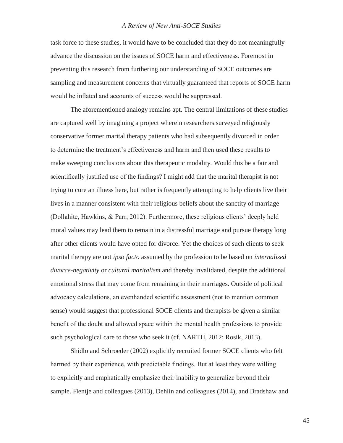task force to these studies, it would have to be concluded that they do not meaningfully advance the discussion on the issues of SOCE harm and effectiveness. Foremost in preventing this research from furthering our understanding of SOCE outcomes are sampling and measurement concerns that virtually guaranteed that reports of SOCE harm would be inflated and accounts of success would be suppressed.

The aforementioned analogy remains apt. The central limitations of these studies are captured well by imagining a project wherein researchers surveyed religiously conservative former marital therapy patients who had subsequently divorced in order to determine the treatment's effectiveness and harm and then used these results to make sweeping conclusions about this therapeutic modality. Would this be a fair and scientifically justified use of the findings? I might add that the marital therapist is not trying to cure an illness here, but rather is frequently attempting to help clients live their lives in a manner consistent with their religious beliefs about the sanctity of marriage (Dollahite, Hawkins, & Parr, 2012). Furthermore, these religious clients' deeply held moral values may lead them to remain in a distressful marriage and pursue therapy long after other clients would have opted for divorce. Yet the choices of such clients to seek marital therapy are not *ipso facto* assumed by the profession to be based on *internalized divorce-negativity* or *cultural maritalism* and thereby invalidated, despite the additional emotional stress that may come from remaining in their marriages. Outside of political advocacy calculations, an evenhanded scientific assessment (not to mention common sense) would suggest that professional SOCE clients and therapists be given a similar benefit of the doubt and allowed space within the mental health professions to provide such psychological care to those who seek it (cf. NARTH, 2012; Rosik, 2013).

Shidlo and Schroeder (2002) explicitly recruited former SOCE clients who felt harmed by their experience, with predictable findings. But at least they were willing to explicitly and emphatically emphasize their inability to generalize beyond their sample. Flentje and colleagues (2013), Dehlin and colleagues (2014), and Bradshaw and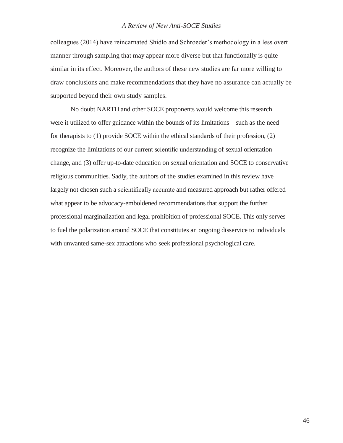colleagues (2014) have reincarnated Shidlo and Schroeder's methodology in a less overt manner through sampling that may appear more diverse but that functionally is quite similar in its effect. Moreover, the authors of these new studies are far more willing to draw conclusions and make recommendations that they have no assurance can actually be supported beyond their own study samples.

No doubt NARTH and other SOCE proponents would welcome this research were it utilized to offer guidance within the bounds of its limitations—such as the need for therapists to (1) provide SOCE within the ethical standards of their profession, (2) recognize the limitations of our current scientific understanding of sexual orientation change, and (3) offer up-to-date education on sexual orientation and SOCE to conservative religious communities. Sadly, the authors of the studies examined in this review have largely not chosen such a scientifically accurate and measured approach but rather offered what appear to be advocacy-emboldened recommendations that support the further professional marginalization and legal prohibition of professional SOCE. This only serves to fuel the polarization around SOCE that constitutes an ongoing disservice to individuals with unwanted same-sex attractions who seek professional psychological care.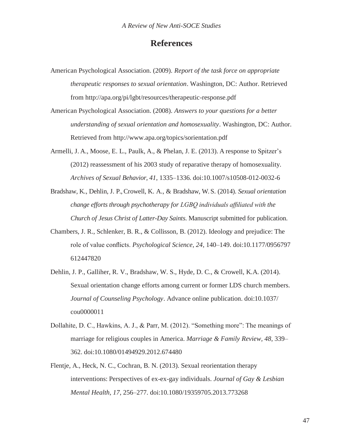### **References**

- American Psychological Association. (2009). *Report of the task force on appropriate therapeutic responses to sexual orientation*. Washington, DC: Author. Retrieved from<http://apa.org/pi/lgbt/resources/therapeutic-response.pdf>
- American Psychological Association. (2008). *Answers to your questions for a better understanding of sexual orientation and homosexuality*. Washington, DC: Author. Retrieved from<http://www.apa.org/topics/sorientation.pdf>
- Armelli, J. A., Moose, E. L., Paulk, A., & Phelan, J. E. (2013). A response to Spitzer's (2012) reassessment of his 2003 study of reparative therapy of homosexuality. *Archives of Sexual Behavior, 41*, 1335–1336*.* doi:10.1007/s10508-012-0032-6
- Bradshaw, K., Dehlin, J. P., Crowell, K. A., & Bradshaw, W. S. (2014). *Sexual orientation change efforts through psychotherapy for LGBQ individuals affiliated with the Church of Jesus Christ of Latter-Day Saints*. Manuscript submitted for publication.
- Chambers, J. R., Schlenker, B. R., & Collisson, B. (2012). Ideology and prejudice: The role of value conflicts. *Psychological Science, 24*, 140–149. doi:10.1177/0956797 612447820
- Dehlin, J. P., Galliher, R. V., Bradshaw, W. S., Hyde, D. C., & Crowell, K.A. (2014). Sexual orientation change efforts among current or former LDS church members. *Journal of Counseling Psychology*. Advance online publication. doi:10.1037/ cou0000011
- Dollahite, D. C., Hawkins, A. J., & Parr, M. (2012). "Something more": The meanings of marriage for religious couples in America. *Marriage & Family Review, 48*, 339– 362. doi:10.1080/01494929.2012.674480
- Flentje, A., Heck, N. C., Cochran, B. N. (2013). Sexual reorientation therapy interventions: Perspectives of ex-ex-gay individuals. *Journal of Gay & Lesbian Mental Health, 17*, 256–277. doi:10.1080/19359705.2013.773268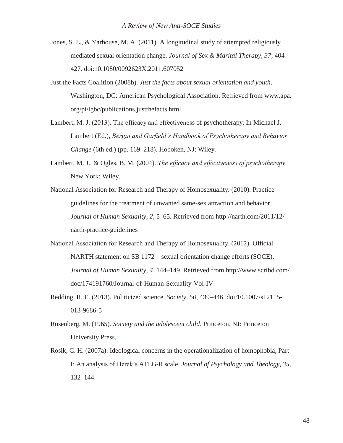- Jones, S. L., & Yarhouse, M. A. (2011). A longitudinal study of attempted religiously mediated sexual orientation change. *Journal of Sex & Marital Therapy, 37*, 404– 427. doi:10.1080/0092623X.2011.607052
- Just the Facts Coalition (2008b). *Just the facts about sexual orientation and youth*. Washington, DC: American Psychological Association. Retrieved from www.apa. org/pi/lgbc/publications.justthefacts.html.
- Lambert, M. J. (2013). The efficacy and effectiveness of psychotherapy. In Michael J. Lambert (Ed.), *Bergin and Garfield's Handbook of Psychotherapy and Behavior Change* (6th ed.) (pp. 169–218). Hoboken, NJ: Wiley.
- Lambert, M. J., & Ogles, B. M. (2004). *The efficacy and effectiveness of psychotherapy.* New York: Wiley.
- National Association for Research and Therapy of Homosexuality. (2010). Practice guidelines for the treatment of unwanted same-sex attraction and behavior. *Journal of Human Sexuality, 2*, 5–65. Retrieved from<http://narth.com/2011/12/> narth-practice-guidelines
- National Association for Research and Therapy of Homosexuality. (2012). Official NARTH statement on SB 1172—sexual orientation change efforts (SOCE). *Journal of Human Sexuality, 4*, 144–149. Retrieved from<http://www.scribd.com/> doc/174191760/Journal-of-Human-Sexuality-Vol-IV
- Redding, R. E. (2013). Politicized science. *Society, 50*, 439–446. doi:10.1007/s12115- 013-9686-5
- Rosenberg, M. (1965). *Society and the adolescent child*. Princeton, NJ: Princeton University Press.
- Rosik, C. H. (2007a). Ideological concerns in the operationalization of homophobia, Part I: An analysis of Herek's ATLG-R scale. *Journal of Psychology and Theology, 35*, 132–144.